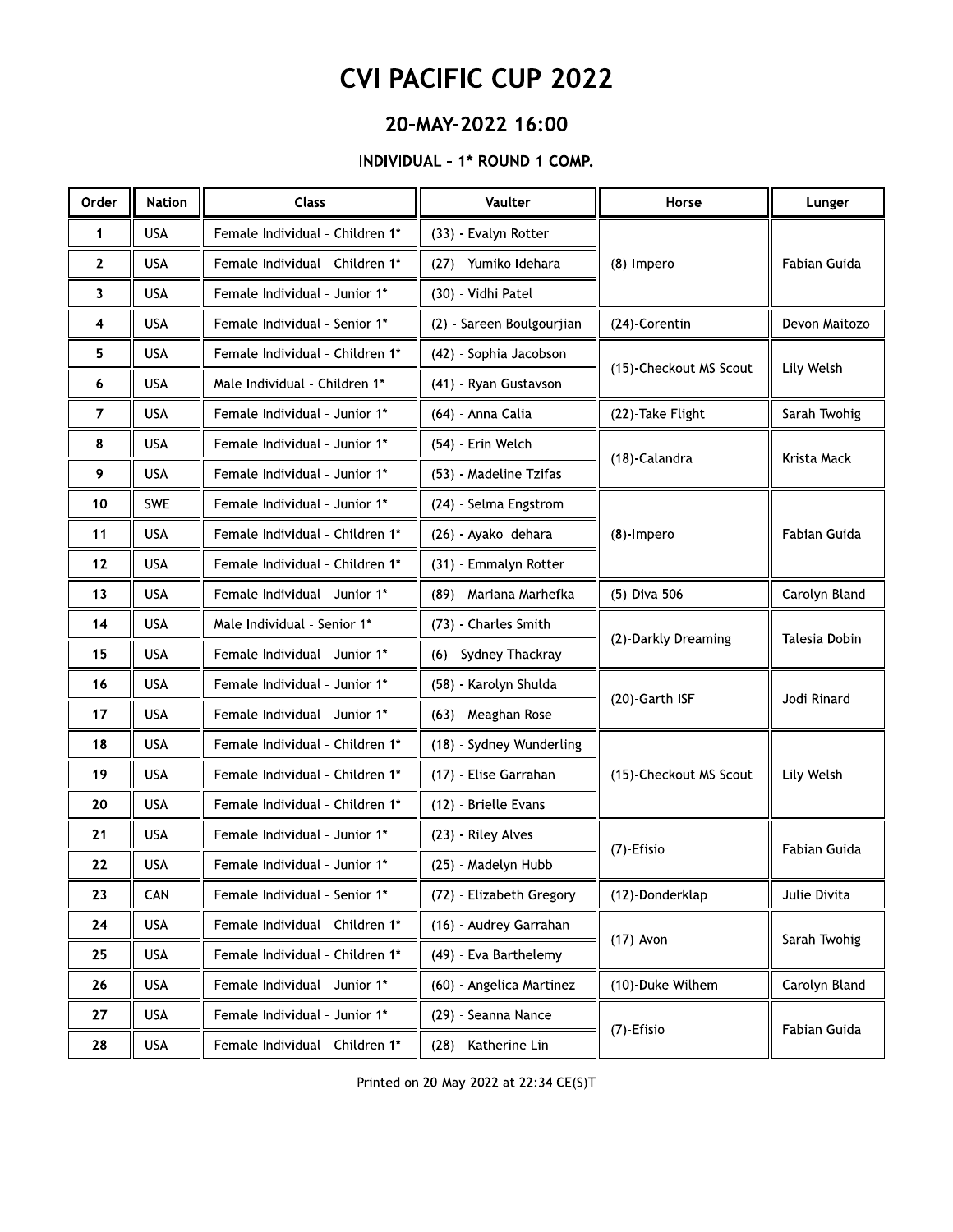### ZU-MAY-ZUZZ 16:00

#### INDIVIDUAL - 1° ROUND 1 COMP.

| Order                   | <b>Nation</b> | <b>Class</b>                    | Vaulter                                | Horse                  | Lunger        |
|-------------------------|---------------|---------------------------------|----------------------------------------|------------------------|---------------|
| 1                       | <b>USA</b>    | Female Individual - Children 1* | (33) - Evalyn Rotter                   |                        |               |
| $\overline{2}$          | <b>USA</b>    | Female Individual - Children 1* | (27) - Yumiko Idehara                  | (8)-Impero             | Fabian Guida  |
| 3                       | <b>USA</b>    | Female Individual - Junior 1*   | (30) - Vidhi Patel                     |                        |               |
| $\overline{\mathbf{4}}$ | <b>USA</b>    | Female Individual - Senior 1*   | (2) - Sareen Boulgourjian              | (24)-Corentin          | Devon Maitozo |
| 5                       | <b>USA</b>    | Female Individual - Children 1* | (42) - Sophia Jacobson                 |                        | Lily Welsh    |
| 6                       | <b>USA</b>    | Male Individual - Children 1*   | (41) - Ryan Gustavson                  | (15)-Checkout MS Scout |               |
| $\overline{7}$          | <b>USA</b>    | Female Individual - Junior 1*   | (64) - Anna Calia                      | (22)-Take Flight       | Sarah Twohig  |
| 8                       | <b>USA</b>    | Female Individual - Junior 1*   | (54) - Erin Welch                      |                        |               |
| 9                       | <b>USA</b>    | Female Individual - Junior 1*   | (53) - Madeline Tzifas                 | (18)-Calandra          | Krista Mack   |
| 10                      | SWE           | Female Individual - Junior 1*   | (24) - Selma Engstrom                  |                        | Fabian Guida  |
| 11                      | <b>USA</b>    | Female Individual - Children 1* | (26) - Ayako Idehara                   | (8)-Impero             |               |
| 12                      | <b>USA</b>    | Female Individual - Children 1* | (31) - Emmalyn Rotter                  |                        |               |
| 13                      | <b>USA</b>    | Female Individual - Junior 1*   | (89) - Mariana Marhefka                | (5)-Diva 506           | Carolyn Bland |
| 14                      | <b>USA</b>    | Male Individual - Senior 1*     | (73) - Charles Smith                   |                        | Talesia Dobin |
| 15                      | <b>USA</b>    | Female Individual - Junior 1*   | (6) - Sydney Thackray                  | (2)-Darkly Dreaming    |               |
| 16                      | <b>USA</b>    | Female Individual - Junior 1*   | (58) - Karolyn Shulda                  |                        | Jodi Rinard   |
| 17                      | <b>USA</b>    | Female Individual - Junior 1*   | (63) - Meaghan Rose                    | (20)-Garth ISF         |               |
| 18                      | <b>USA</b>    | Female Individual - Children 1* | (18) - Sydney Wunderling               |                        | Lily Welsh    |
| 19                      | <b>USA</b>    | Female Individual - Children 1* | (17) - Elise Garrahan                  | (15)-Checkout MS Scout |               |
| 20                      | <b>USA</b>    | Female Individual - Children 1* | (12) - Brielle Evans                   |                        |               |
| 21                      | <b>USA</b>    | Female Individual - Junior 1*   | (23) - Riley Alves                     |                        | Fabian Guida  |
| 22                      | <b>USA</b>    | Female Individual - Junior 1*   | (25) - Madelyn Hubb                    | (7)-Efisio             |               |
| 23                      | CAN           | Female Individual - Senior 1*   | (72) - Elizabeth Gregory               | (12)-Donderklap        | Julie Divita  |
| 24                      | <b>USA</b>    | Female Individual - Children 1* | (16) - Audrey Garrahan                 |                        | Sarah Twohig  |
| 25                      | <b>USA</b>    | Female Individual - Children 1* | (49) - Eva Barthelemy                  | $(17)$ -Avon           |               |
| 26                      | <b>USA</b>    | Female Individual - Junior 1*   | (60) - Angelica Martinez               | (10)-Duke Wilhem       | Carolyn Bland |
| 27                      | <b>USA</b>    | Female Individual - Junior 1*   | (29) - Seanna Nance                    |                        | Fabian Guida  |
| 28                      | <b>USA</b>    | Female Individual - Children 1* | (28) - Katherine Lin                   | (7)-Efisio             |               |
|                         |               |                                 | Printed on 20-May-2022 at 22:34 CE(S)T |                        |               |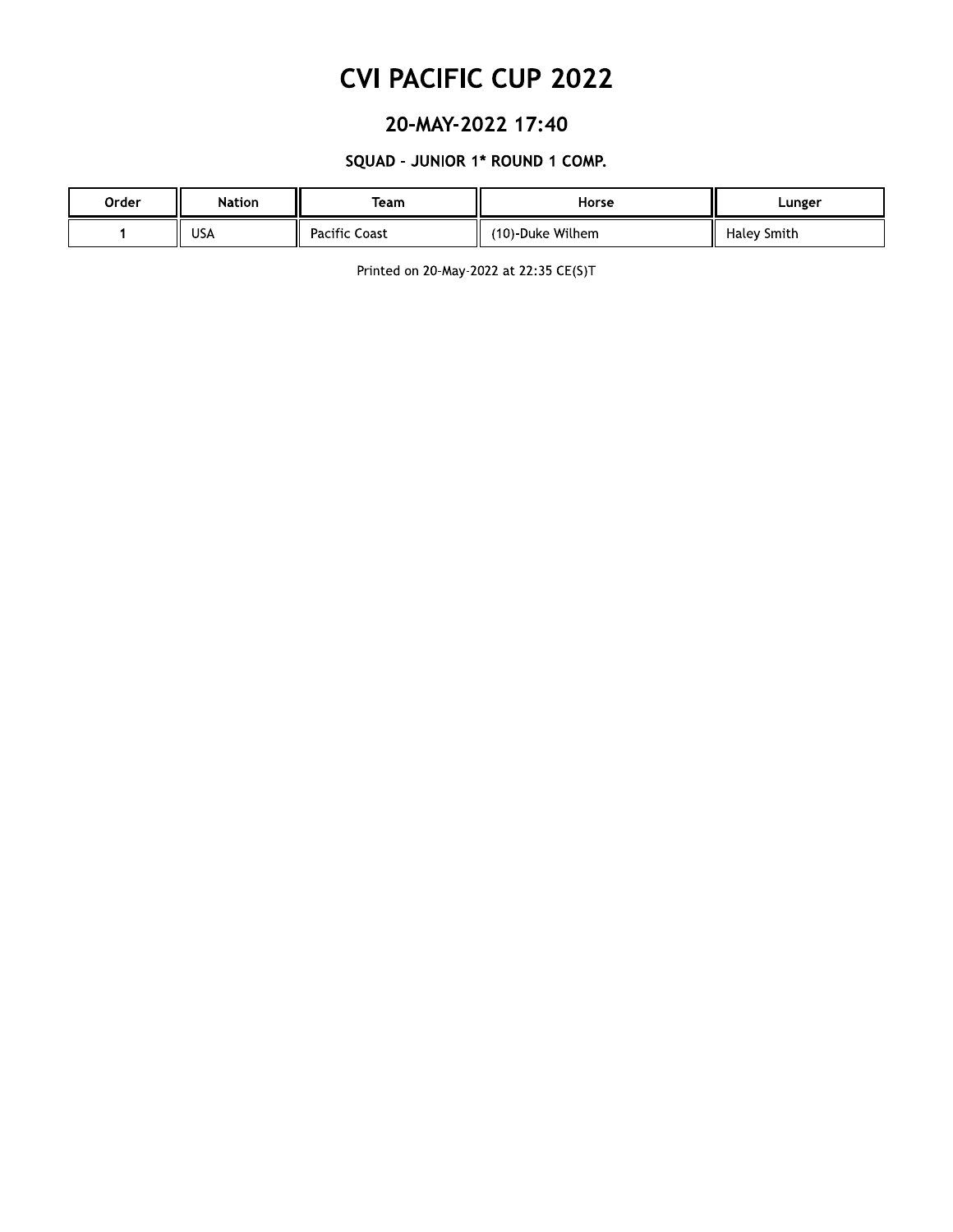### 20-MAY-2022 17:40

#### SQUAD - JUNIOR 1\* ROUND 1 COMP.

| Order | <b>Nation</b> | Team                 | Horse            | Lunger      |
|-------|---------------|----------------------|------------------|-------------|
|       | USA           | <b>Pacific Coast</b> | (10)-Duke Wilhem | Haley Smith |

Printed on 20-May-2022 at 22:35 CE(S)T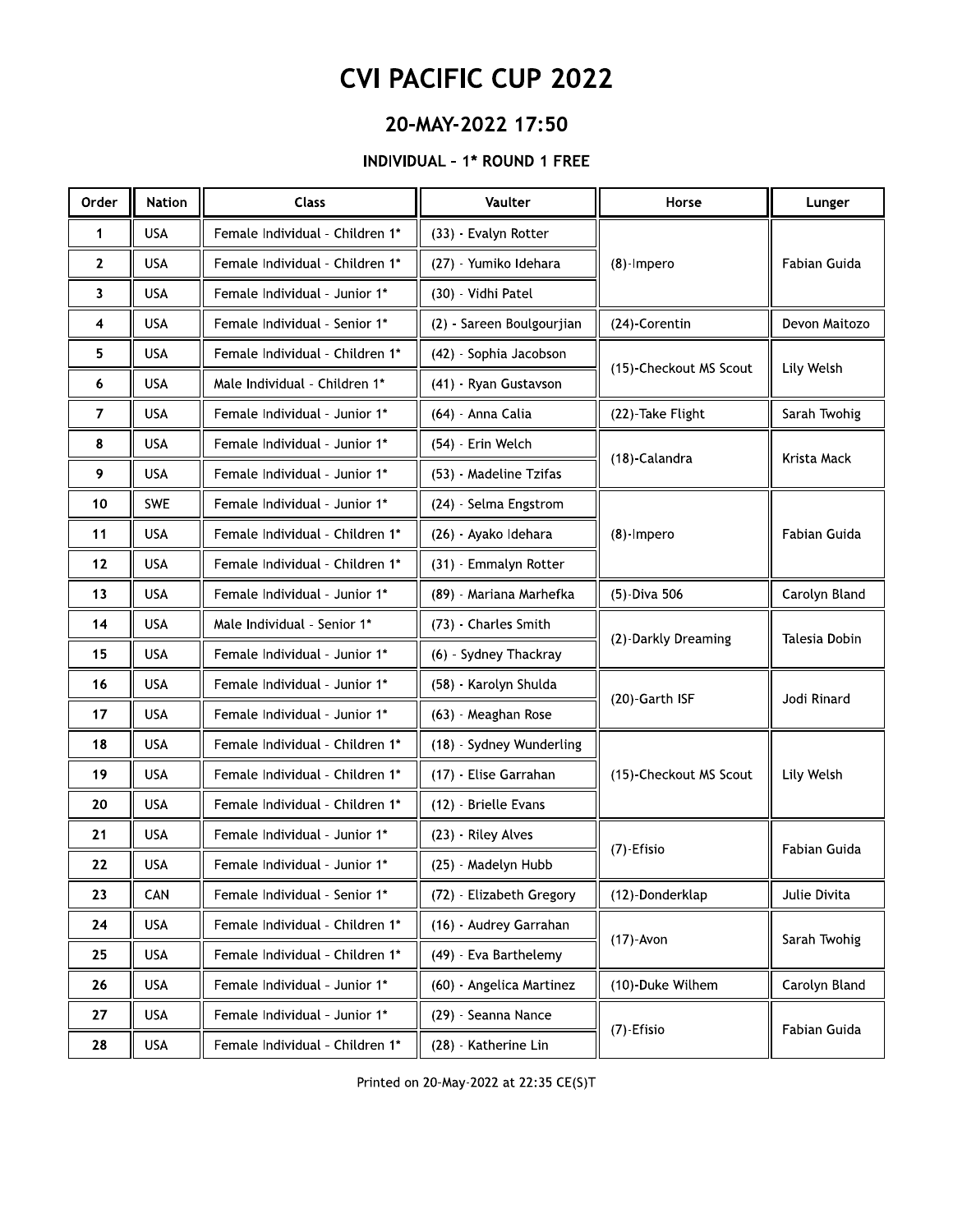### 20-MAY-2022 17:50

#### INDIVIDUAL - 1\* ROUND 1 FREE

| Order | <b>Nation</b> | <b>Class</b>                    | Vaulter                   | Horse                  | Lunger        |
|-------|---------------|---------------------------------|---------------------------|------------------------|---------------|
| 1     | <b>USA</b>    | Female Individual - Children 1* | (33) - Evalyn Rotter      |                        |               |
| 2     | <b>USA</b>    | Female Individual - Children 1* | (27) - Yumiko Idehara     | $(8)$ -Impero          | Fabian Guida  |
| 3     | <b>USA</b>    | Female Individual - Junior 1*   | (30) - Vidhi Patel        |                        |               |
| 4     | <b>USA</b>    | Female Individual - Senior 1*   | (2) - Sareen Boulgourjian | (24)-Corentin          | Devon Maitozo |
| 5     | <b>USA</b>    | Female Individual - Children 1* | (42) - Sophia Jacobson    |                        | Lily Welsh    |
| 6     | <b>USA</b>    | Male Individual - Children 1*   | (41) - Ryan Gustavson     | (15)-Checkout MS Scout |               |
| 7     | <b>USA</b>    | Female Individual - Junior 1*   | (64) - Anna Calia         | (22)-Take Flight       | Sarah Twohig  |
| 8     | <b>USA</b>    | Female Individual - Junior 1*   | (54) - Erin Welch         |                        | Krista Mack   |
| 9     | <b>USA</b>    | Female Individual - Junior 1*   | (53) - Madeline Tzifas    | (18)-Calandra          |               |
| 10    | SWE           | Female Individual - Junior 1*   | (24) - Selma Engstrom     |                        |               |
| 11    | <b>USA</b>    | Female Individual - Children 1* | (26) - Ayako Idehara      | $(8)$ -Impero          | Fabian Guida  |
| 12    | <b>USA</b>    | Female Individual - Children 1* | (31) - Emmalyn Rotter     |                        |               |
| 13    | <b>USA</b>    | Female Individual - Junior 1*   | (89) - Mariana Marhefka   | (5)-Diva 506           | Carolyn Bland |
| 14    | <b>USA</b>    | Male Individual - Senior 1*     | (73) - Charles Smith      | (2)-Darkly Dreaming    | Talesia Dobin |
| 15    | <b>USA</b>    | Female Individual - Junior 1*   | (6) - Sydney Thackray     |                        |               |
| 16    | <b>USA</b>    | Female Individual - Junior 1*   | (58) - Karolyn Shulda     | (20)-Garth ISF         | Jodi Rinard   |
| 17    | <b>USA</b>    | Female Individual - Junior 1*   | (63) - Meaghan Rose       |                        |               |
| 18    | <b>USA</b>    | Female Individual - Children 1* | (18) - Sydney Wunderling  |                        |               |
| 19    | <b>USA</b>    | Female Individual - Children 1* | (17) Elise Garrahan       | (15)-Checkout MS Scout | Lily Welsh    |
| 20    | <b>USA</b>    | Female Individual - Children 1* | (12) - Brielle Evans      |                        |               |
| 21    | <b>USA</b>    | Female Individual - Junior 1*   | (23) - Riley Alves        | (7)-Efisio             | Fabian Guida  |
| 22    | <b>USA</b>    | Female Individual - Junior 1*   | (25) - Madelyn Hubb       |                        |               |
| 23    | CAN           | Female Individual - Senior 1*   | (72) - Elizabeth Gregory  | (12)-Donderklap        | Julie Divita  |
| 24    | <b>USA</b>    | Female Individual - Children 1* | (16) - Audrey Garrahan    | $(17)$ -Avon           | Sarah Twohig  |
| 25    | <b>USA</b>    | Female Individual - Children 1* | (49) - Eva Barthelemy     |                        |               |
| 26    | <b>USA</b>    | Female Individual - Junior 1*   | (60) - Angelica Martinez  | (10)-Duke Wilhem       | Carolyn Bland |
| 27    | <b>USA</b>    | Female Individual - Junior 1*   | (29) - Seanna Nance       | (7)-Efisio             | Fabian Guida  |
| 28    | <b>USA</b>    | Female Individual - Children 1* | (28) - Katherine Lin      |                        |               |

Printed on 20-May-2022 at 22:35 CE(S)T